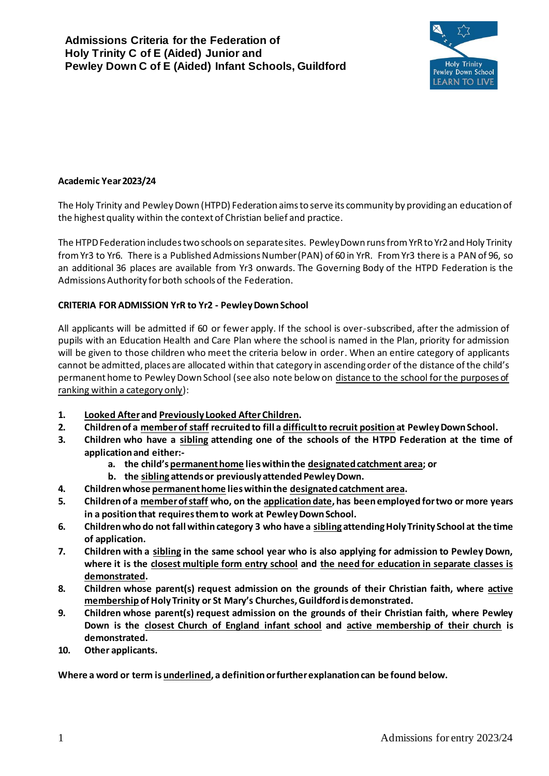

### **Academic Year 2023/24**

The Holy Trinity and Pewley Down (HTPD) Federation aims to serve its community by providing an education of the highest quality within the context of Christian belief and practice.

The HTPD Federation includes two schools on separate sites. Pewley Down runs from YrR to Yr2 and Holy Trinity from Yr3 to Yr6. There is a Published Admissions Number (PAN) of 60 in YrR. From Yr3 there is a PAN of 96, so an additional 36 places are available from Yr3 onwards. The Governing Body of the HTPD Federation is the Admissions Authority for both schools of the Federation.

#### **CRITERIA FOR ADMISSION YrR to Yr2 - Pewley Down School**

All applicants will be admitted if 60 or fewer apply. If the school is over-subscribed, after the admission of pupils with an Education Health and Care Plan where the school is named in the Plan, priority for admission will be given to those children who meet the criteria below in order. When an entire category of applicants cannot be admitted, places are allocated within that category in ascending order of the distance of the child's permanent home to Pewley Down School (see also note below on distance to the school for the purposes of ranking within a category only):

- **1. Looked Afterand Previously Looked After Children.**
- **2. Children of a member of staff recruited to fill a difficult to recruit position at Pewley Down School.**
- **3. Children who have a sibling attending one of the schools of the HTPD Federation at the time of application and either:**
	- **a. the child's permanent home lies within the designated catchment area; or**
	- **b. the sibling attends or previously attended Pewley Down.**
- **4. Children whose permanent home lies within the designated catchment area.**
- **5. Children of a member of staff who, on the application date, has been employed for two or more years in a position that requires them to work at Pewley Down School.**
- **6. Children who do not fall within category 3 who have a sibling attending Holy Trinity School at the time of application.**
- **7. Children with a sibling in the same school year who is also applying for admission to Pewley Down, where it is the closest multiple form entry school and the need for education in separate classes is demonstrated.**
- **8. Children whose parent(s) request admission on the grounds of their Christian faith, where active membership of Holy Trinity or St Mary's Churches, Guildford is demonstrated.**
- **9. Children whose parent(s) request admission on the grounds of their Christian faith, where Pewley Down is the closest Church of England infant school and active membership of their church is demonstrated.**
- **10. Other applicants.**

**Where a word or term is underlined, a definition or further explanation can be found below.**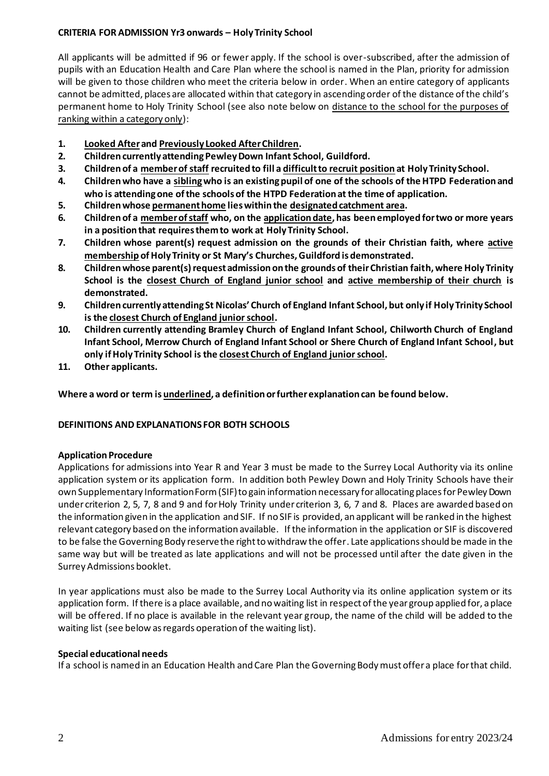# **CRITERIA FOR ADMISSION Yr3 onwards – Holy Trinity School**

All applicants will be admitted if 96 or fewer apply. If the school is over-subscribed, after the admission of pupils with an Education Health and Care Plan where the school is named in the Plan, priority for admission will be given to those children who meet the criteria below in order. When an entire category of applicants cannot be admitted, places are allocated within that category in ascending order of the distance of the child's permanent home to Holy Trinity School (see also note below on distance to the school for the purposes of ranking within a category only):

- **1. Looked Afterand Previously Looked After Children.**
- **2. Children currently attending Pewley Down Infant School, Guildford.**
- **3. Children of a member of staff recruited to fill a difficult to recruit position at Holy Trinity School.**
- **4. Children who have a siblingwho is an existing pupil of one of the schools of the HTPD Federation and who is attending one of the schools of the HTPD Federation at the time of application.**
- **5. Children whose permanent home lies within the designated catchment area.**
- **6. Children of a member of staff who, on the application date, has been employed for two or more years in a position that requires them to work at Holy Trinity School.**
- **7. Children whose parent(s) request admission on the grounds of their Christian faith, where active membership of Holy Trinity or St Mary's Churches, Guildford is demonstrated.**
- **8. Children whose parent(s) request admission on the grounds of their Christian faith, where Holy Trinity School is the closest Church of England junior school and active membership of their church is demonstrated.**
- **9. Children currently attending St Nicolas' Church of England Infant School, but only if Holy Trinity School is the closest Church of England junior school.**
- **10. Children currently attending Bramley Church of England Infant School, Chilworth Church of England Infant School, Merrow Church of England Infant School or Shere Church of England Infant School, but only if Holy Trinity School is the closestChurch of England juniorschool.**
- **11. Other applicants.**

**Where a word or term is underlined, a definition or further explanation can be found below.**

# **DEFINITIONS AND EXPLANATIONS FOR BOTH SCHOOLS**

# **Application Procedure**

Applications for admissions into Year R and Year 3 must be made to the Surrey Local Authority via its online application system or its application form. In addition both Pewley Down and Holy Trinity Schools have their own Supplementary Information Form (SIF) to gain information necessary for allocating places for Pewley Down under criterion 2, 5, 7, 8 and 9 and for Holy Trinity under criterion 3, 6, 7 and 8. Places are awarded based on the information given in the application and SIF. If no SIF is provided, an applicant will be ranked in the highest relevant category based on the information available. If the information in the application or SIF is discovered to be false the Governing Body reserve the right to withdraw the offer. Late applications should be made in the same way but will be treated as late applications and will not be processed until after the date given in the Surrey Admissions booklet.

In year applications must also be made to the Surrey Local Authority via its online application system or its application form. If there is a place available, and no waiting list in respect of the year group applied for, a place will be offered. If no place is available in the relevant year group, the name of the child will be added to the waiting list (see below as regards operation of the waiting list).

# **Special educational needs**

If a school is named in an Education Health and Care Plan the Governing Body must offer a place for that child.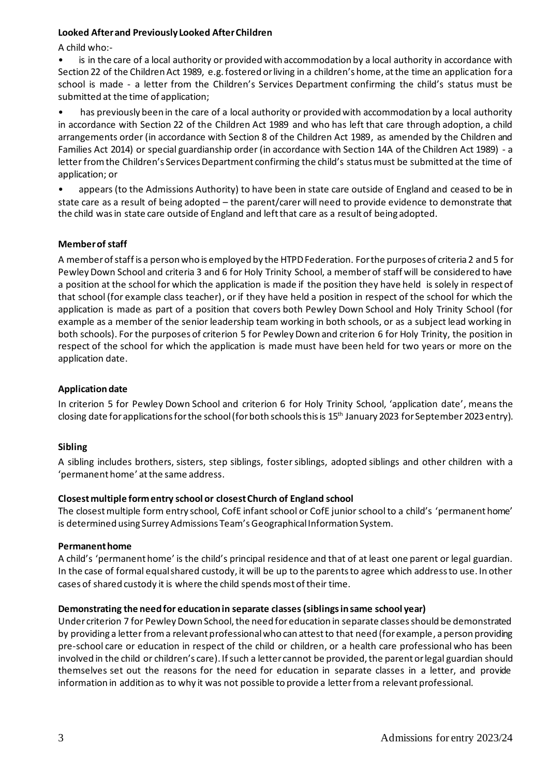### **Looked After and Previously Looked After Children**

A child who:-

is in the care of a local authority or provided with accommodation by a local authority in accordance with Section 22 of the Children Act 1989, e.g. fostered or living in a children's home, at the time an application for a school is made - a letter from the Children's Services Department confirming the child's status must be submitted at the time of application;

• has previously been in the care of a local authority or provided with accommodation by a local authority in accordance with Section 22 of the Children Act 1989 and who has left that care through adoption, a child arrangements order (in accordance with Section 8 of the Children Act 1989, as amended by the Children and Families Act 2014) or special guardianship order (in accordance with Section 14A of the Children Act 1989) - a letter from the Children's Services Department confirming the child's status must be submitted at the time of application; or

• appears (to the Admissions Authority) to have been in state care outside of England and ceased to be in state care as a result of being adopted – the parent/carer will need to provide evidence to demonstrate that the child was in state care outside of England and left that care as a result of being adopted.

# **Member of staff**

A member of staff is a person who is employed by the HTPD Federation. For the purposes of criteria 2 and 5 for Pewley Down School and criteria 3 and 6 for Holy Trinity School, a member of staff will be considered to have a position at the school for which the application is made if the position they have held is solely in respect of that school (for example class teacher), or if they have held a position in respect of the school for which the application is made as part of a position that covers both Pewley Down School and Holy Trinity School (for example as a member of the senior leadership team working in both schools, or as a subject lead working in both schools). For the purposes of criterion 5 for Pewley Down and criterion 6 for Holy Trinity, the position in respect of the school for which the application is made must have been held for two years or more on the application date.

### **Application date**

In criterion 5 for Pewley Down School and criterion 6 for Holy Trinity School, 'application date', means the closing date for applications for the school (for both schools this is 15th January 2023 for September 2023 entry).

#### **Sibling**

A sibling includes brothers, sisters, step siblings, foster siblings, adopted siblings and other children with a 'permanent home' at the same address.

# **Closest multiple form entry school or closest Church of England school**

The closest multiple form entry school, CofE infant school or CofE junior school to a child's 'permanent home' is determined using Surrey Admissions Team's Geographical Information System.

#### **Permanent home**

A child's 'permanent home' is the child's principal residence and that of at least one parent or legal guardian. In the case of formal equal shared custody, it will be up to the parents to agree which address to use. In other cases of shared custody it is where the child spends most of their time.

#### **Demonstrating the need for education in separate classes(siblings in same school year)**

Under criterion 7 for Pewley Down School, the need for education in separate classes should be demonstrated by providing a letter from a relevant professionalwho can attest to that need (for example, a person providing pre-school care or education in respect of the child or children, or a health care professional who has been involved in the child or children's care). If such a letter cannot be provided, the parent or legal guardian should themselves set out the reasons for the need for education in separate classes in a letter, and provide information in addition as to why it was not possible to provide a letter from a relevant professional.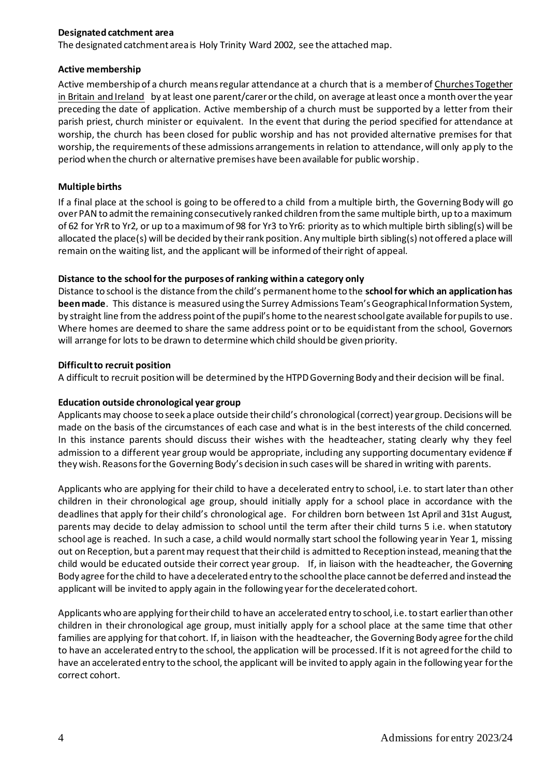### **Designated catchment area**

The designated catchment area is Holy Trinity Ward 2002, see the attached map.

### **Active membership**

Active membership of a church means regular attendance at a church that is a member of Churches Together in Britain and Ireland by at least one parent/carer or the child, on average at least once a month over the year preceding the date of application. Active membership of a church must be supported by a letter from their parish priest, church minister or equivalent. In the event that during the period specified for attendance at worship, the church has been closed for public worship and has not provided alternative premises for that worship, the requirements of these admissions arrangements in relation to attendance, will only apply to the period when the church or alternative premises have been available for public worship.

### **Multiple births**

If a final place at the school is going to be offered to a child from a multiple birth, the Governing Body will go over PAN to admit the remaining consecutively ranked children from the same multiple birth, up to a maximum of 62 for YrR to Yr2, or up to a maximum of 98 for Yr3 to Yr6: priority as to which multiple birth sibling(s) will be allocated the place(s) will be decided by their rank position. Any multiple birth sibling(s) not offered a place will remain on the waiting list, and the applicant will be informed of their right of appeal.

### **Distance to the school for the purposes of ranking within a category only**

Distance to school is the distance from the child's permanent home to the **school for which an application has been made**. This distance is measured using the Surrey Admissions Team's Geographical Information System, by straight line from the address point of the pupil's home to the nearest school gate available for pupils to use. Where homes are deemed to share the same address point or to be equidistant from the school, Governors will arrange for lots to be drawn to determine which child should be given priority.

### **Difficult to recruit position**

A difficult to recruit position will be determined by the HTPDGoverning Body and their decision will be final.

#### **Education outside chronological year group**

Applicants may choose to seek a place outside their child's chronological (correct) year group. Decisions will be made on the basis of the circumstances of each case and what is in the best interests of the child concerned. In this instance parents should discuss their wishes with the headteacher, stating clearly why they feel admission to a different year group would be appropriate, including any supporting documentary evidence if they wish. Reasons for the Governing Body's decision in such cases will be shared in writing with parents.

Applicants who are applying for their child to have a decelerated entry to school, i.e. to start later than other children in their chronological age group, should initially apply for a school place in accordance with the deadlines that apply for their child's chronological age. For children born between 1st April and 31st August, parents may decide to delay admission to school until the term after their child turns 5 i.e. when statutory school age is reached. In such a case, a child would normally start school the following year in Year 1, missing out on Reception, but a parent may request that their child is admitted to Reception instead, meaning that the child would be educated outside their correct year group. If, in liaison with the headteacher, the Governing Body agree for the child to have a decelerated entry to the school the place cannot be deferred and instead the applicant will be invited to apply again in the following year for the decelerated cohort.

Applicants who are applying for their child to have an accelerated entry to school, i.e. to start earlier than other children in their chronological age group, must initially apply for a school place at the same time that other families are applying for that cohort. If, in liaison with the headteacher, the Governing Body agree for the child to have an accelerated entry to the school, the application will be processed. If it is not agreed for the child to have an accelerated entry to the school, the applicant will be invited to apply again in the following year for the correct cohort.